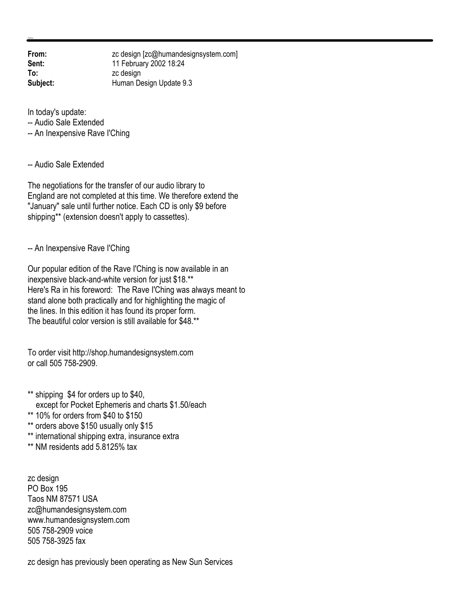**From:** zc design [zc@humandesignsystem.com]<br> **Sent:** 11 February 2002 18:24 **Sent:** 11 February 2002 18:24 **To:** zc design **Subject:** Human Design Update 9.3

In today's update:

-- Audio Sale Extended

-- An Inexpensive Rave I'Ching

-- Audio Sale Extended

The negotiations for the transfer of our audio library to England are not completed at this time. We therefore extend the "January" sale until further notice. Each CD is only \$9 before shipping\*\* (extension doesn't apply to cassettes).

-- An Inexpensive Rave I'Ching

Our popular edition of the Rave I'Ching is now available in an inexpensive black-and-white version for just \$18.\*\* Here's Ra in his foreword: The Rave I'Ching was always meant to stand alone both practically and for highlighting the magic of the lines. In this edition it has found its proper form. The beautiful color version is still available for \$48.\*\*

To order visit http://shop.humandesignsystem.com or call 505 758-2909.

- \*\* shipping \$4 for orders up to \$40, except for Pocket Ephemeris and charts \$1.50/each
- \*\* 10% for orders from \$40 to \$150
- \*\* orders above \$150 usually only \$15
- \*\* international shipping extra, insurance extra
- \*\* NM residents add 5.8125% tax

zc design PO Box 195 Taos NM 87571 USA zc@humandesignsystem.com www.humandesignsystem.com 505 758-2909 voice 505 758-3925 fax

zc design has previously been operating as New Sun Services